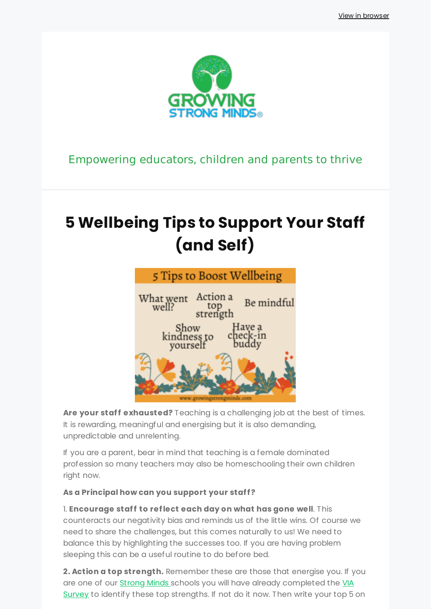[View in browser](http://localhost:3000/decode_hex/68747470733a2f2f707265766965772e6d61696c65726c6974652e636f6d2f6e3563347831)



### Empowering educators, children and parents to thrive

# **5 Wellbeing Tips to Support Your Staff (and Self)**



Are your staff exhausted? Teaching is a challenging job at the best of times. It is rewarding, meaningful and energising but it is also demanding, unpredictable and unrelenting.

If you are a parent, bear in mind that teaching is a female dominated profession so many teachers may also be homeschooling their own children right now.

### As a Principal how can you support your staff?

1. **Encourage staff to reflect each day on what has gone well**. This counteracts our negativity bias and reminds us of the little wins. Of course we need to share the challenges, but this comes naturally to us! We need to balance this by highlighting the successes too. If you are having problem sleeping this can be a useful routine to do before bed.

**2. Action a top strength.** Remember these are those that energise you. If you are one of our **Strong Minds** schools you will have already completed the VIA Survey to identify these top strengths. If not do it now. Then write your top 5 on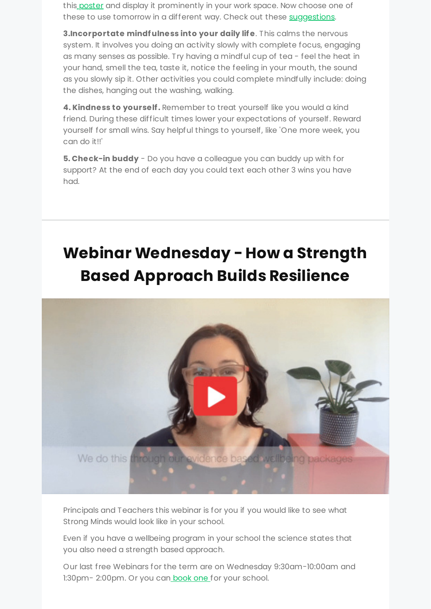this [poster](https://growingstrongminds.com/free-resources/signature-strength-poster/?&utm_source=newsletter&utm_medium=email&utm_campaign=september_newsletter_5_wellbeing_tips_to_support_your_staff&utm_term=2021-09-12) and display it prominently in your work space. Now choose one of these to use tomorrow in a different way. Check out these [suggestions.](https://www.viacharacter.org/topics/articles/tips-for-using-each-character-strength-in-a-new-way?&utm_source=newsletter&utm_medium=email&utm_campaign=september_newsletter_5_wellbeing_tips_to_support_your_staff&utm_term=2021-09-12)

**3.Incorportate mindf ulness into your daily lif e**. This calms the nervous system. It involves you doing an activity slowly with complete focus, engaging as many senses as possible. Try having a mindful cup of tea - feel the heat in your hand, smell the tea, taste it, notice the feeling in your mouth, the sound as you slowly sip it. Other activities you could complete mindfully include: doing the dishes, hanging out the washing, walking.

**4. Kindness to yourself .** Remember to treat yourself like you would a kind friend. During these difficult times lower your expectations of yourself. Reward yourself for small wins. Say helpful things to yourself, like 'One more week, you can do it!!'

**5. Check-in buddy** - Do you have a colleague you can buddy up with for support? At the end of each day you could text each other 3 wins you have had.

# **[Webinar Wednesday - How a Strength](https://www.eventbrite.com.au/e/explaining-strong-minds-a-strength-based-approach-tickets-165072362881?&utm_source=newsletter&utm_medium=email&utm_campaign=september_newsletter_5_wellbeing_tips_to_support_your_staff&utm_term=2021-09-12) Based Approach Builds Resilience**



Principals and Teachers this webinar is for you if you would like to see what Strong Minds would look like in your school.

Even if you have a wellbeing program in your school the science states that you also need a strength based approach.

Our last free Webinars for the term are on Wednesday 9:30am-10:00am and 1:30pm-2:00pm. Or you can [book one f](https://growingstrongminds.com/contact/?&utm_source=newsletter&utm_medium=email&utm_campaign=september_newsletter_5_wellbeing_tips_to_support_your_staff&utm_term=2021-09-12)or your school.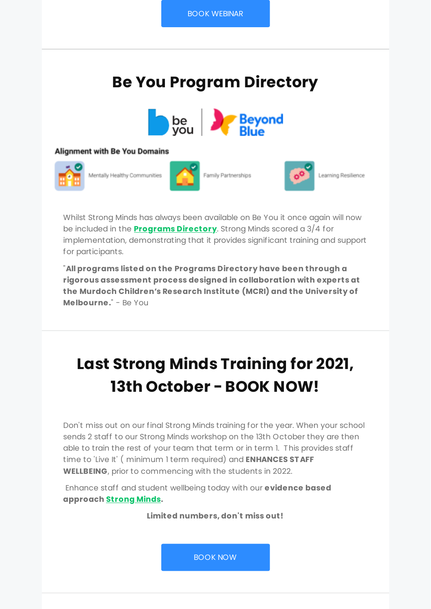## **Be You Program Directory**



#### **Alignment with Be You Domains**



Mentally Healthy Communities



Family Partnerships



Learning Resilience

Whilst Strong Minds has always been available on Be You it once again will now be included in the **[Programs Directory](https://beyou.edu.au/resources/programs-directory/s/strong-minds?&utm_source=newsletter&utm_medium=email&utm_campaign=september_newsletter_5_wellbeing_tips_to_support_your_staff&utm_term=2021-09-12)**. Strong Minds scored a 3/4 for implementation, demonstrating that it provides significant training and support for participants.

"**All programs listed on the Programs Directory have been through a rigorous assessment process designed in collaboration with experts at the Murdoch Children's Research Institute (MCRI) and the University of Melbourne.**" - Be You

## **Last Strong Minds Training for 2021, 13th October - BOOK NOW!**

Don't miss out on our final Strong Minds training for the year. When your school sends 2 staff to our Strong Minds workshop on the 13th October they are then able to train the rest of your team that term or in term 1. This provides staff time to 'Live It' ( minimum 1 term required) and **ENHANCES ST AFF WELLBEING**, prior to commencing with the students in 2022.

 Enhance staff and student wellbeing today with our **evidence based approach [Strong Minds.](https://growingstrongminds.com/strong-minds/?&utm_source=newsletter&utm_medium=email&utm_campaign=september_newsletter_5_wellbeing_tips_to_support_your_staff&utm_term=2021-09-12)**

**Limited numbers, don't miss out!**

[BOOK NOW](https://growingstrongminds.com/strong-minds-expert/workshop-booking-form/?&utm_source=newsletter&utm_medium=email&utm_campaign=september_newsletter_5_wellbeing_tips_to_support_your_staff&utm_term=2021-09-12)